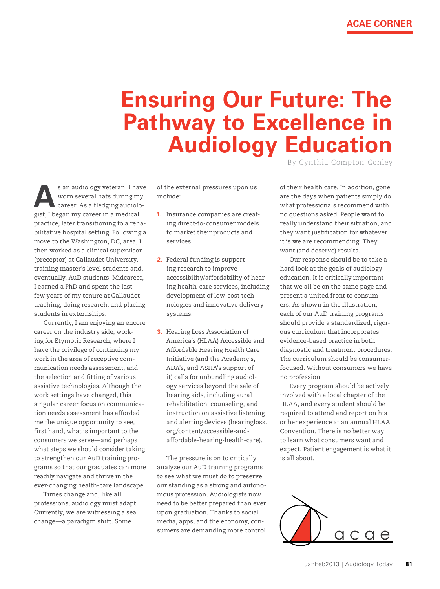## **Ensuring Our Future: The Pathway to Excellence in Audiology Education**

By Cynthia Compton-Conley

s an audiology veteran, I have<br>worn several hats during my<br>career. As a fledging audiologist<br>because is a mediate worn several hats during my career. As a fledging audiologist, I began my career in a medical practice, later transitioning to a rehabilitative hospital setting. Following a move to the Washington, DC, area, I then worked as a clinical supervisor (preceptor) at Gallaudet University, training master's level students and, eventually, AuD students. Midcareer, I earned a PhD and spent the last few years of my tenure at Gallaudet teaching, doing research, and placing students in externships.

Currently, I am enjoying an encore career on the industry side, working for Etymotic Research, where I have the privilege of continuing my work in the area of receptive communication needs assessment, and the selection and fitting of various assistive technologies. Although the work settings have changed, this singular career focus on communication needs assessment has afforded me the unique opportunity to see, first hand, what is important to the consumers we serve—and perhaps what steps we should consider taking to strengthen our AuD training programs so that our graduates can more readily navigate and thrive in the ever-changing health-care landscape.

Times change and, like all professions, audiology must adapt. Currently, we are witnessing a sea change—a paradigm shift. Some

of the external pressures upon us include:

- **1.** Insurance companies are creating direct-to-consumer models to market their products and services.
- **2.** Federal funding is supporting research to improve accessibility/affordability of hearing health-care services, including development of low-cost technologies and innovative delivery systems.
- **3.** Hearing Loss Association of America's (HLAA) Accessible and Affordable Hearing Health Care Initiative (and the Academy's, ADA's, and ASHA's support of it) calls for unbundling audiology services beyond the sale of hearing aids, including aural rehabilitation, counseling, and instruction on assistive listening and alerting devices (hearingloss. org/content/accessible-andaffordable-hearing-health-care).

The pressure is on to critically analyze our AuD training programs to see what we must do to preserve our standing as a strong and autonomous profession. Audiologists now need to be better prepared than ever upon graduation. Thanks to social media, apps, and the economy, consumers are demanding more control of their health care. In addition, gone are the days when patients simply do what professionals recommend with no questions asked. People want to really understand their situation, and they want justification for whatever it is we are recommending. They want (and deserve) results.

Our response should be to take a hard look at the goals of audiology education. It is critically important that we all be on the same page and present a united front to consumers. As shown in the illustration, each of our AuD training programs should provide a standardized, rigorous curriculum that incorporates evidence-based practice in both diagnostic and treatment procedures. The curriculum should be consumerfocused. Without consumers we have no profession.

Every program should be actively involved with a local chapter of the HLAA, and every student should be required to attend and report on his or her experience at an annual HLAA Convention. There is no better way to learn what consumers want and expect. Patient engagement is what it is all about.